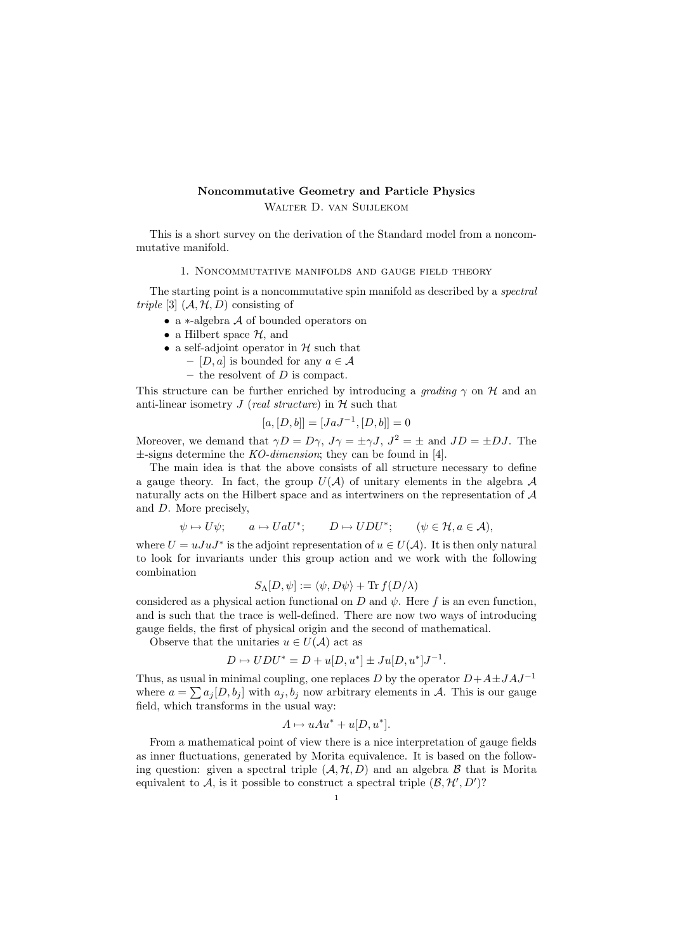## Noncommutative Geometry and Particle Physics Walter D. van Suijlekom

This is a short survey on the derivation of the Standard model from a noncommutative manifold.

1. Noncommutative manifolds and gauge field theory

The starting point is a noncommutative spin manifold as described by a spectral triple [3]  $(A, H, D)$  consisting of

- a ∗-algebra A of bounded operators on
- a Hilbert space  $H$ , and
- a self-adjoint operator in  $H$  such that
	- [D, a] is bounded for any  $a \in \mathcal{A}$
	- the resolvent of  $D$  is compact.

This structure can be further enriched by introducing a grading  $\gamma$  on  $\mathcal H$  and an anti-linear isometry  $J$  (real structure) in  $H$  such that

$$
[a, [D, b]] = [JaJ^{-1}, [D, b]] = 0
$$

Moreover, we demand that  $\gamma D = D\gamma$ ,  $J\gamma = \pm \gamma J$ ,  $J^2 = \pm$  and  $JD = \pm DJ$ . The  $\pm$ -signs determine the *KO-dimension*; they can be found in [4].

The main idea is that the above consists of all structure necessary to define a gauge theory. In fact, the group  $U(\mathcal{A})$  of unitary elements in the algebra  $\mathcal A$ naturally acts on the Hilbert space and as intertwiners on the representation of  $A$ and D. More precisely,

> $\psi \mapsto U\psi$ ;  $a \mapsto U a U^*$ ;  $D \mapsto UDU^*$ :  $(\psi \in \mathcal{H}, a \in \mathcal{A}).$

where  $U = uJuJ^*$  is the adjoint representation of  $u \in U(\mathcal{A})$ . It is then only natural to look for invariants under this group action and we work with the following combination

$$
S_{\Lambda}[D,\psi] := \langle \psi, D\psi \rangle + \text{Tr} f(D/\lambda)
$$

considered as a physical action functional on D and  $\psi$ . Here f is an even function, and is such that the trace is well-defined. There are now two ways of introducing gauge fields, the first of physical origin and the second of mathematical.

Observe that the unitaries  $u \in U(\mathcal{A})$  act as

$$
D \mapsto UDU^* = D + u[D, u^*] \pm Ju[D, u^*]J^{-1}.
$$

Thus, as usual in minimal coupling, one replaces D by the operator  $D+A\pm JAJ^{-1}$ where  $a = \sum a_j [D, b_j]$  with  $a_j, b_j$  now arbitrary elements in A. This is our gauge field, which transforms in the usual way:

$$
A \mapsto uAu^* + u[D, u^*].
$$

From a mathematical point of view there is a nice interpretation of gauge fields as inner fluctuations, generated by Morita equivalence. It is based on the following question: given a spectral triple  $(A, \mathcal{H}, D)$  and an algebra B that is Morita equivalent to A, is it possible to construct a spectral triple  $(\mathcal{B}, \mathcal{H}', D')$ ?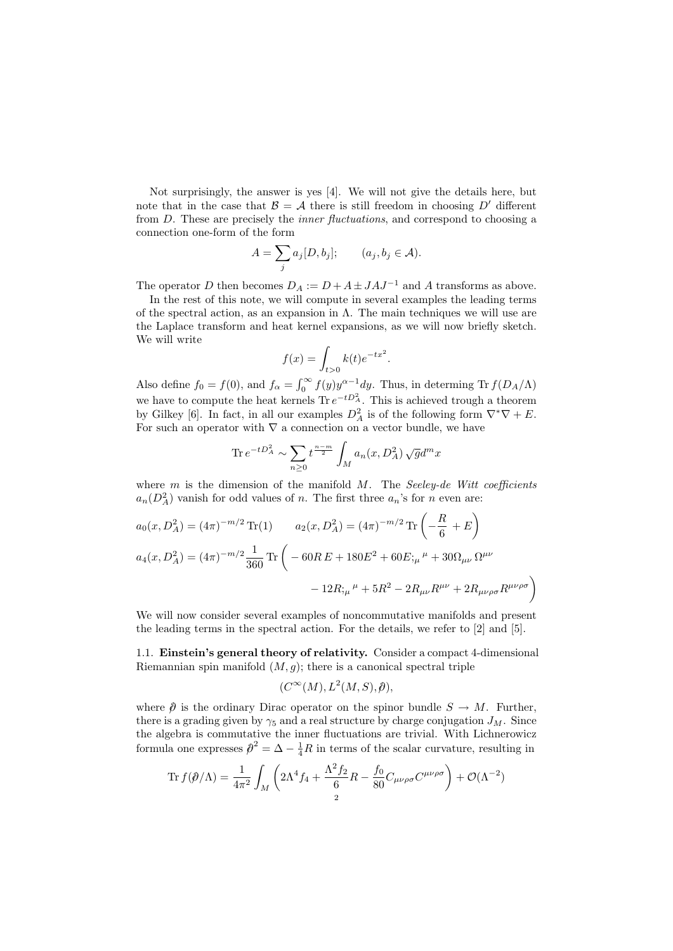Not surprisingly, the answer is yes [4]. We will not give the details here, but note that in the case that  $\mathcal{B} = \mathcal{A}$  there is still freedom in choosing D' different from D. These are precisely the *inner fluctuations*, and correspond to choosing a connection one-form of the form

$$
A = \sum_{j} a_j [D, b_j]; \qquad (a_j, b_j \in \mathcal{A}).
$$

The operator D then becomes  $D_A := D + A \pm JAJ^{-1}$  and A transforms as above.

In the rest of this note, we will compute in several examples the leading terms of the spectral action, as an expansion in  $\Lambda$ . The main techniques we will use are the Laplace transform and heat kernel expansions, as we will now briefly sketch. We will write

$$
f(x) = \int_{t>0} k(t)e^{-tx^2}.
$$

Also define  $f_0 = f(0)$ , and  $f_\alpha = \int_0^\infty f(y) y^{\alpha-1} dy$ . Thus, in determing Tr  $f(D_A/\Lambda)$ we have to compute the heat kernels Tr  $e^{-tD_A^2}$ . This is achieved trough a theorem by Gilkey [6]. In fact, in all our examples  $D_A^2$  is of the following form  $\nabla^*\nabla + E$ . For such an operator with  $\nabla$  a connection on a vector bundle, we have

$$
\text{Tr } e^{-tD_A^2} \sim \sum_{n\geq 0} t^{\frac{n-m}{2}} \int_M a_n(x, D_A^2) \sqrt{g} d^m x
$$

where  $m$  is the dimension of the manifold  $M$ . The Seeley-de Witt coefficients  $a_n(D_A^2)$  vanish for odd values of n. The first three  $a_n$ 's for n even are:

$$
a_0(x, D_A^2) = (4\pi)^{-m/2} \operatorname{Tr}(1) \qquad a_2(x, D_A^2) = (4\pi)^{-m/2} \operatorname{Tr}\left(-\frac{R}{6} + E\right)
$$
  

$$
a_4(x, D_A^2) = (4\pi)^{-m/2} \frac{1}{360} \operatorname{Tr}\left(-60RE + 180E^2 + 60E;_{\mu}{}^{\mu} + 30\Omega_{\mu\nu}\Omega^{\mu\nu}
$$

$$
-12R;_{\mu}{}^{\mu} + 5R^2 - 2R_{\mu\nu}R^{\mu\nu} + 2R_{\mu\nu\rho\sigma}R^{\mu\nu\rho\sigma}\right)
$$

We will now consider several examples of noncommutative manifolds and present the leading terms in the spectral action. For the details, we refer to [2] and [5].

1.1. Einstein's general theory of relativity. Consider a compact 4-dimensional Riemannian spin manifold  $(M, q)$ ; there is a canonical spectral triple

$$
(C^{\infty}(M), L^2(M, S), \hat{\rho}),
$$

where  $\hat{\rho}$  is the ordinary Dirac operator on the spinor bundle  $S \to M$ . Further, there is a grading given by  $\gamma_5$  and a real structure by charge conjugation  $J_M$ . Since the algebra is commutative the inner fluctuations are trivial. With Lichnerowicz formula one expresses  $\hat{\rho}^2 = \Delta - \frac{1}{4}R$  in terms of the scalar curvature, resulting in

$$
\operatorname{Tr} f(\hat{\rho}/\Lambda) = \frac{1}{4\pi^2} \int_M \left( 2\Lambda^4 f_4 + \frac{\Lambda^2 f_2}{6} R - \frac{f_0}{80} C_{\mu\nu\rho\sigma} C^{\mu\nu\rho\sigma} \right) + \mathcal{O}(\Lambda^{-2})
$$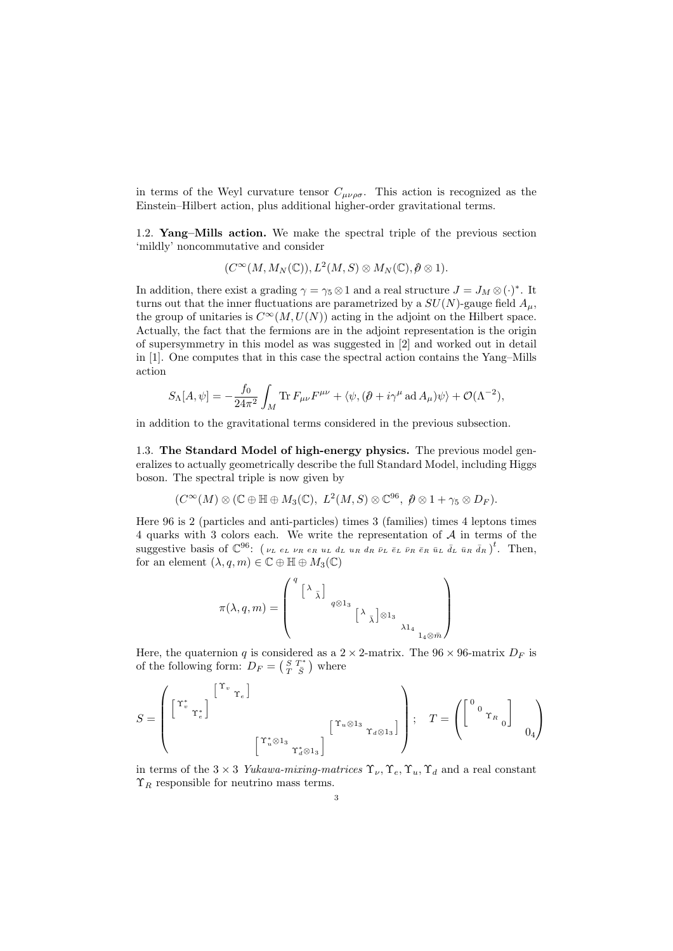in terms of the Weyl curvature tensor  $C_{\mu\nu\rho\sigma}$ . This action is recognized as the Einstein–Hilbert action, plus additional higher-order gravitational terms.

1.2. Yang–Mills action. We make the spectral triple of the previous section 'mildly' noncommutative and consider

$$
(C^{\infty}(M, M_N(\mathbb{C})), L^2(M, S) \otimes M_N(\mathbb{C}), \partial \otimes 1).
$$

In addition, there exist a grading  $\gamma = \gamma_5 \otimes 1$  and a real structure  $J = J_M \otimes (\cdot)^*$ . It turns out that the inner fluctuations are parametrized by a  $SU(N)$ -gauge field  $A<sub>\mu</sub>$ , the group of unitaries is  $C^{\infty}(M, U(N))$  acting in the adjoint on the Hilbert space. Actually, the fact that the fermions are in the adjoint representation is the origin of supersymmetry in this model as was suggested in [2] and worked out in detail in [1]. One computes that in this case the spectral action contains the Yang–Mills action

$$
S_{\Lambda}[A,\psi] = -\frac{f_0}{24\pi^2} \int_M \text{Tr} \, F_{\mu\nu} F^{\mu\nu} + \langle \psi, (\partial + i\gamma^{\mu} \, \text{ad} \, A_{\mu}) \psi \rangle + \mathcal{O}(\Lambda^{-2}),
$$

in addition to the gravitational terms considered in the previous subsection.

1.3. The Standard Model of high-energy physics. The previous model generalizes to actually geometrically describe the full Standard Model, including Higgs boson. The spectral triple is now given by

$$
(C^{\infty}(M)\otimes (\mathbb{C}\oplus \mathbb{H}\oplus M_3(\mathbb{C}), L^2(M, S)\otimes \mathbb{C}^{96}, \mathcal{b}\otimes 1+\gamma_5 \otimes D_F).
$$

Here 96 is 2 (particles and anti-particles) times 3 (families) times 4 leptons times 4 quarks with 3 colors each. We write the representation of A in terms of the suggestive basis of  $\mathbb{C}^{96}$ : ( $\nu_L e_L \nu_R e_R u_L d_L u_R d_R \bar{\nu}_L \bar{e}_L \bar{\nu}_R \bar{e}_R \bar{u}_L \bar{d}_L \bar{u}_R \bar{d}_R$ )<sup>t</sup>. Then, for an element  $(\lambda, q, m) \in \mathbb{C} \oplus \mathbb{H} \oplus M_3(\mathbb{C})$ 

$$
\pi(\lambda,q,m)=\left(\begin{smallmatrix}q& & & & & & & & &\\& \left[\begin{array}{c} \lambda& & & & & & &\\ & & q\otimes 1_{3} & & & & &\\ & & & & \left[\begin{array}{c} \lambda& \\ & & \lambda& 1_{4} & \\ & & & & \lambda& 1_{4} & \\ & & & & & \lambda& 1_{4} & \\ & & & & & & \lambda& 1_{4} \end{array}\right\end{smallmatrix}\right)
$$

Here, the quaternion q is considered as a  $2 \times 2$ -matrix. The  $96 \times 96$ -matrix  $D_F$  is of the following form:  $D_F = \begin{pmatrix} S & T^* \\ T & \bar{S} \end{pmatrix}$  where

$$
S = \left( \begin{bmatrix} \Upsilon_v^* & & & \Upsilon_v^* \end{bmatrix} \begin{bmatrix} \Upsilon_v & & & & \\ & \Upsilon_v & & & \\ & & & \Upsilon_u \otimes 1_3 & \\ & & & \Upsilon_u \otimes 1_3 \\ & & & \Upsilon_u \otimes 1_3 \end{bmatrix} \right); \quad T = \left( \begin{bmatrix} 0 & & & \\ & 0 & \Upsilon_h & \\ & & & 0 \end{bmatrix} \right)
$$

in terms of the 3 × 3 Yukawa-mixing-matrices  $\Upsilon_{\nu}$ ,  $\Upsilon_{e}$ ,  $\Upsilon_{u}$ ,  $\Upsilon_{d}$  and a real constant  $\Upsilon_R$  responsible for neutrino mass terms.